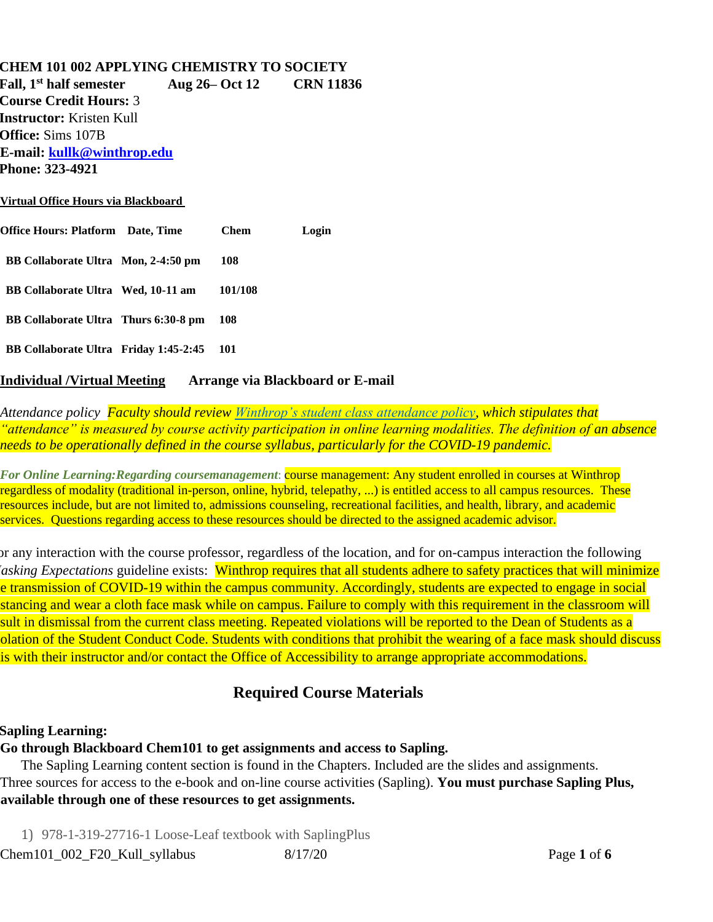#### **CHEM 101 002 APPLYING CHEMISTRY TO SOCIETY**

**Fall, 1st half semester Aug 26– Oct 12 CRN 11836 Course Credit Hours:** 3 **Instructor:** Kristen Kull **Office:** Sims 107B **E-mail: kullk@winthrop.edu Phone: 323-4921 Virtual Office Hours via Blackboard**

| Office Hours: Platform Date, Time     | <b>Chem</b> | Login |
|---------------------------------------|-------------|-------|
| BB Collaborate Ultra Mon, 2-4:50 pm   | 108         |       |
| BB Collaborate Ultra Wed, 10-11 am    | 101/108     |       |
| BB Collaborate Ultra Thurs 6:30-8 pm  | 108         |       |
| BB Collaborate Ultra Friday 1:45-2:45 | 101         |       |

#### **Individual /Virtual Meeting Arrange via Blackboard or E-mail**

*Attendance policy Faculty should review [Winthrop's student class attendance policy,](https://apps.winthrop.edu/policyrepository/Policy/FullPolicy?PID=399) which stipulates that "attendance" is measured by course activity participation in online learning modalities. The definition of an absence needs to be operationally defined in the course syllabus, particularly for the COVID-19 pandemic.*

*For Online Learning:Regarding coursemanagement*: course management: Any student enrolled in courses at Winthrop regardless of modality (traditional in-person, online, hybrid, telepathy, ...) is entitled access to all campus resources. These resources include, but are not limited to, admissions counseling, recreational facilities, and health, library, and academic services. Questions regarding access to these resources should be directed to the assigned academic advisor.

For any interaction with the course professor, regardless of the location, and for on-campus interaction the following *Masking Expectations* guideline exists: Winthrop requires that all students adhere to safety practices that will minimize e transmission of COVID-19 within the campus community. Accordingly, students are expected to engage in social stancing and wear a cloth face mask while on campus. Failure to comply with this requirement in the classroom will sult in dismissal from the current class meeting. Repeated violations will be reported to the Dean of Students as a olation of the Student Conduct Code. Students with conditions that prohibit the wearing of a face mask should discuss is with their instructor and/or contact the Office of Accessibility to arrange appropriate accommodations.

## **Required Course Materials**

#### **Sapling Learning:**

#### **Go through Blackboard Chem101 to get assignments and access to Sapling.**

The Sapling Learning content section is found in the Chapters. Included are the slides and assignments. Three sources for access to the e-book and on-line course activities (Sapling). **You must purchase Sapling Plus, available through one of these resources to get assignments.**

1) 978-1-319-27716-1 Loose-Leaf textbook with SaplingPlus

Chem101\_002\_F20\_Kull\_syllabus 8/17/20 Page **1** of **6**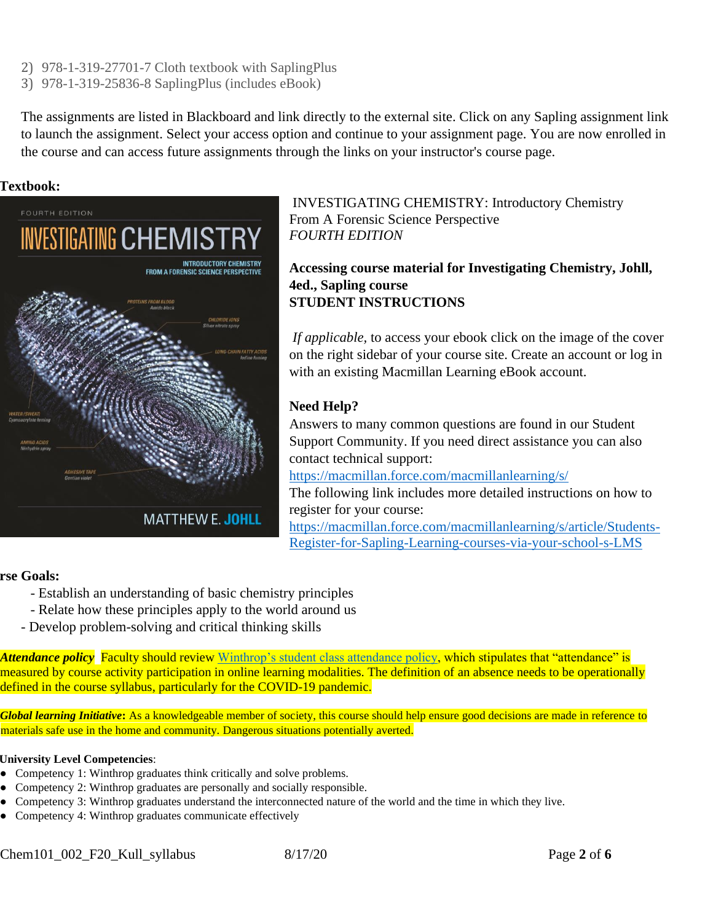- 2) 978-1-319-27701-7 Cloth textbook with SaplingPlus
- 3) 978-1-319-25836-8 SaplingPlus (includes eBook)

The assignments are listed in Blackboard and link directly to the external site. Click on any Sapling assignment link to launch the assignment. Select your access option and continue to your assignment page. You are now enrolled in the course and can access future assignments through the links on your instructor's course page.

#### **Textbook:**



**MATTHEW E. JOHLL** 

INVESTIGATING CHEMISTRY: Introductory Chemistry From A Forensic Science Perspective *FOURTH EDITION*

**Accessing course material for Investigating Chemistry, Johll, 4ed., Sapling course STUDENT INSTRUCTIONS**

*If applicable,* to access your ebook click on the image of the cover on the right sidebar of your course site. Create an account or log in with an existing Macmillan Learning eBook account.

### **Need Help?**

Answers to many common questions are found in our Student Support Community. If you need direct assistance you can also contact technical support:

<https://macmillan.force.com/macmillanlearning/s/>

The following link includes more detailed instructions on how to register for your course:

[https://macmillan.force.com/macmillanlearning/s/article/Students-](https://macmillan.force.com/macmillanlearning/s/article/Students-Register-for-Sapling-Learning-courses-via-your-school-s-LMS)[Register-for-Sapling-Learning-courses-via-your-school-s-LMS](https://macmillan.force.com/macmillanlearning/s/article/Students-Register-for-Sapling-Learning-courses-via-your-school-s-LMS)

#### rse Goals:

- Establish an understanding of basic chemistry principles
- Relate how these principles apply to the world around us
- Develop problem-solving and critical thinking skills

*Attendance policy* Faculty should review [Winthrop's student class attendance policy,](https://apps.winthrop.edu/policyrepository/Policy/FullPolicy?PID=399) which stipulates that "attendance" is measured by course activity participation in online learning modalities. The definition of an absence needs to be operationally defined in the course syllabus, particularly for the COVID-19 pandemic.

*Global learning Initiative***:** As a knowledgeable member of society, this course should help ensure good decisions are made in reference to materials safe use in the home and community. Dangerous situations potentially averted.

#### **University Level Competencies**:

- Competency 1: Winthrop graduates think critically and solve problems.
- Competency 2: Winthrop graduates are personally and socially responsible.
- Competency 3: Winthrop graduates understand the interconnected nature of the world and the time in which they live.
- Competency 4: Winthrop graduates communicate effectively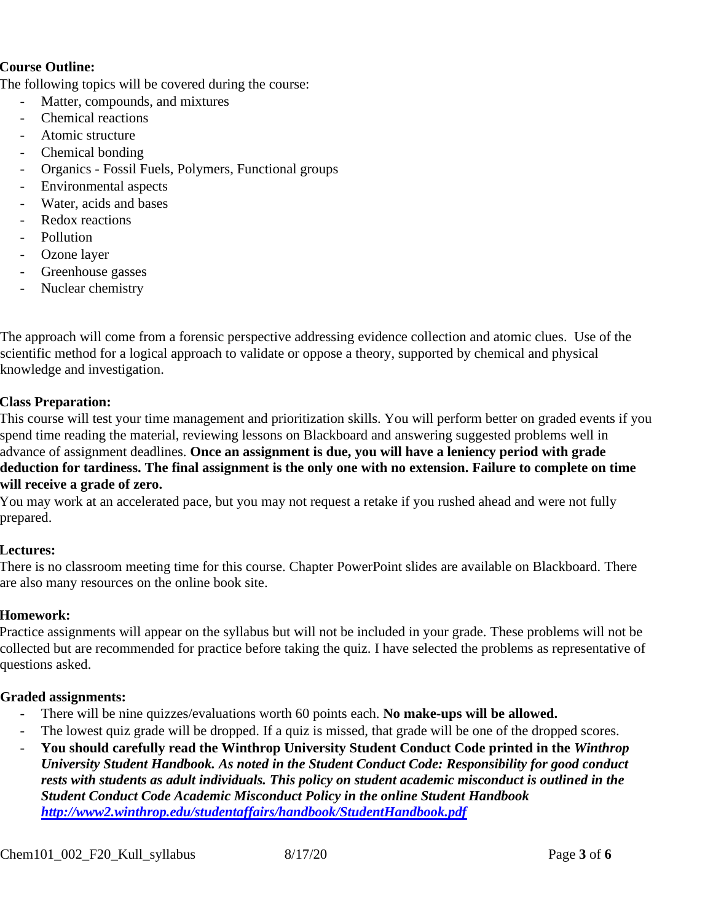#### **Course Outline:**

The following topics will be covered during the course:

- Matter, compounds, and mixtures
- Chemical reactions
- Atomic structure
- Chemical bonding
- Organics Fossil Fuels, Polymers, Functional groups
- Environmental aspects
- Water, acids and bases
- Redox reactions
- Pollution
- Ozone layer
- Greenhouse gasses
- Nuclear chemistry

The approach will come from a forensic perspective addressing evidence collection and atomic clues. Use of the scientific method for a logical approach to validate or oppose a theory, supported by chemical and physical knowledge and investigation.

#### **Class Preparation:**

This course will test your time management and prioritization skills. You will perform better on graded events if you spend time reading the material, reviewing lessons on Blackboard and answering suggested problems well in advance of assignment deadlines. **Once an assignment is due, you will have a leniency period with grade deduction for tardiness. The final assignment is the only one with no extension. Failure to complete on time will receive a grade of zero.**

You may work at an accelerated pace, but you may not request a retake if you rushed ahead and were not fully prepared.

#### **Lectures:**

There is no classroom meeting time for this course. Chapter PowerPoint slides are available on Blackboard. There are also many resources on the online book site.

#### **Homework:**

Practice assignments will appear on the syllabus but will not be included in your grade. These problems will not be collected but are recommended for practice before taking the quiz. I have selected the problems as representative of questions asked.

#### **Graded assignments:**

- There will be nine quizzes/evaluations worth 60 points each. **No make-ups will be allowed.**
- The lowest quiz grade will be dropped. If a quiz is missed, that grade will be one of the dropped scores.
- **You should carefully read the Winthrop University Student Conduct Code printed in the** *Winthrop University Student Handbook. As noted in the Student Conduct Code: Responsibility for good conduct rests with students as adult individuals. This policy on student academic misconduct is outlined in the Student Conduct Code Academic Misconduct Policy in the online Student Handbook <http://www2.winthrop.edu/studentaffairs/handbook/StudentHandbook.pdf>*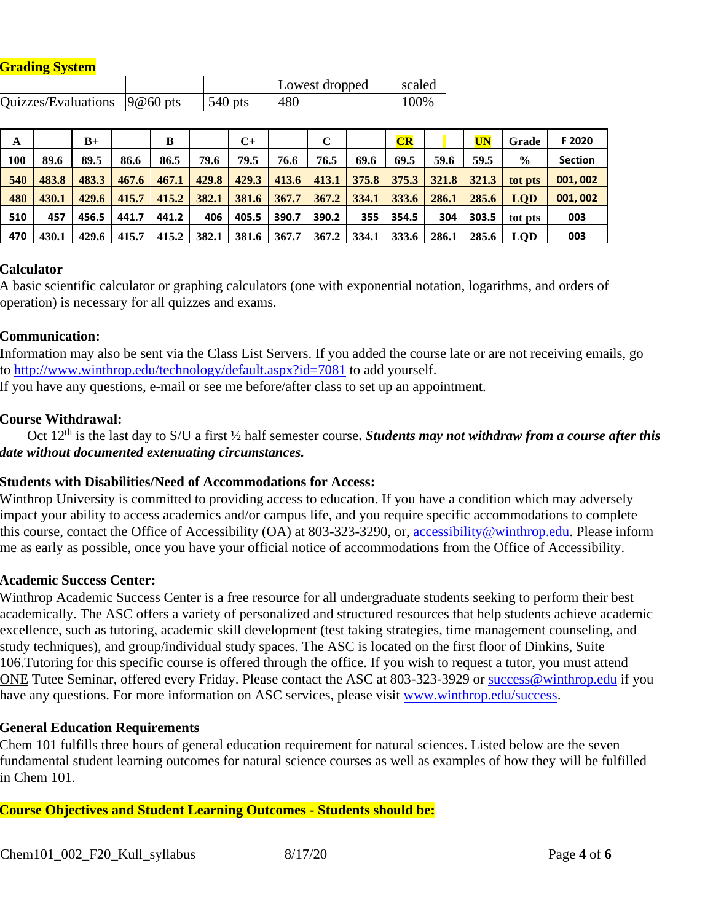| <b>Grading System</b> |  |  |
|-----------------------|--|--|
|                       |  |  |

|                                        |           | Lowest dropped | scaled |
|----------------------------------------|-----------|----------------|--------|
| Quizzes/Evaluations $ 9@60\rangle$ pts | $540$ pts | 480            | 100%   |

| A   |       | $B+$  |       | B     |       | $C+$  |       | C     |       | CR    |       | UN    | Grade         | F 2020         |
|-----|-------|-------|-------|-------|-------|-------|-------|-------|-------|-------|-------|-------|---------------|----------------|
| 100 | 89.6  | 89.5  | 86.6  | 86.5  | 79.6  | 79.5  | 76.6  | 76.5  | 69.6  | 69.5  | 59.6  | 59.5  | $\frac{0}{0}$ | <b>Section</b> |
| 540 | 483.8 | 483.3 | 467.6 | 467.1 | 429.8 | 429.3 | 413.6 | 413.1 | 375.8 | 375.3 | 321.8 | 321.3 | tot pts       | 001,002        |
| 480 | 430.1 | 429.6 | 415.7 | 415.2 | 382.1 | 381.6 | 367.7 | 367.2 | 334.1 | 333.6 | 286.1 | 285.6 | <b>LOD</b>    | 001.002        |
| 510 | 457   | 456.5 | 441.7 | 441.2 | 406   | 405.5 | 390.7 | 390.2 | 355   | 354.5 | 304   | 303.5 | tot pts       | 003            |
| 470 | 430.1 | 429.6 | 415.7 | 415.2 | 382.1 | 381.6 | 367.7 | 367.2 | 334.1 | 333.6 | 286.1 | 285.6 | <b>LOD</b>    | 003            |

#### **Calculator**

A basic scientific calculator or graphing calculators (one with exponential notation, logarithms, and orders of operation) is necessary for all quizzes and exams.

#### **Communication:**

**I**nformation may also be sent via the Class List Servers. If you added the course late or are not receiving emails, go to<http://www.winthrop.edu/technology/default.aspx?id=7081> to add yourself.

If you have any questions, e-mail or see me before/after class to set up an appointment.

#### **Course Withdrawal:**

 Oct 12th is the last day to S/U a first ½ half semester course**.** *Students may not withdraw from a course after this date without documented extenuating circumstances.*

#### **Students with Disabilities/Need of Accommodations for Access:**

Winthrop University is committed to providing access to education. If you have a condition which may adversely impact your ability to access academics and/or campus life, and you require specific accommodations to complete this course, contact the Office of Accessibility (OA) at 803-323-3290, or, accessibility@winthrop.edu. Please inform me as early as possible, once you have your official notice of accommodations from the Office of Accessibility.

#### **Academic Success Center:**

Winthrop Academic Success Center is a free resource for all undergraduate students seeking to perform their best academically. The ASC offers a variety of personalized and structured resources that help students achieve academic excellence, such as tutoring, academic skill development (test taking strategies, time management counseling, and study techniques), and group/individual study spaces. The ASC is located on the first floor of Dinkins, Suite 106.Tutoring for this specific course is offered through the office. If you wish to request a tutor, you must attend ONE Tutee Seminar, offered every Friday. Please contact the ASC at 803-323-3929 or success@winthrop.edu if you have any ques[t](https://exchangeweb.winthrop.edu/exchweb/bin/redir.asp?URL=http://www.winthrop.edu/success)ions. For more information on ASC services, please visit [www.winthrop.edu/success.](https://exchangeweb.winthrop.edu/exchweb/bin/redir.asp?URL=http://www.winthrop.edu/success)

#### **General Education Requirements**

Chem 101 fulfills three hours of general education requirement for natural sciences. Listed below are the seven fundamental student learning outcomes for natural science courses as well as examples of how they will be fulfilled in Chem 101.

#### **Course Objectives and Student Learning Outcomes - Students should be:**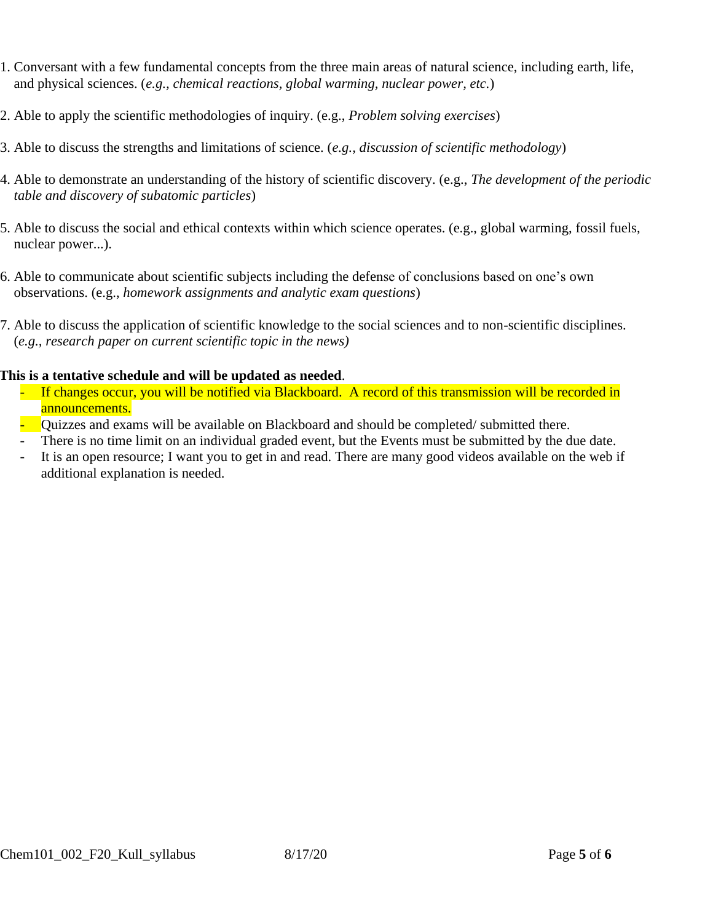- 1. Conversant with a few fundamental concepts from the three main areas of natural science, including earth, life, and physical sciences. (*e.g., chemical reactions, global warming, nuclear power, etc.*)
- 2. Able to apply the scientific methodologies of inquiry. (e.g., *Problem solving exercises*)
- 3. Able to discuss the strengths and limitations of science. (*e.g., discussion of scientific methodology*)
- 4. Able to demonstrate an understanding of the history of scientific discovery. (e.g., *The development of the periodic table and discovery of subatomic particles*)
- 5. Able to discuss the social and ethical contexts within which science operates. (e.g., global warming, fossil fuels, nuclear power...).
- 6. Able to communicate about scientific subjects including the defense of conclusions based on one's own observations. (e.g., *homework assignments and analytic exam questions*)
- 7. Able to discuss the application of scientific knowledge to the social sciences and to non-scientific disciplines. (*e.g., research paper on current scientific topic in the news)*

#### **This is a tentative schedule and will be updated as needed**.

- If changes occur, you will be notified via Blackboard. A record of this transmission will be recorded in announcements.
- Quizzes and exams will be available on Blackboard and should be completed/ submitted there.
- There is no time limit on an individual graded event, but the Events must be submitted by the due date.
- It is an open resource; I want you to get in and read. There are many good videos available on the web if additional explanation is needed.